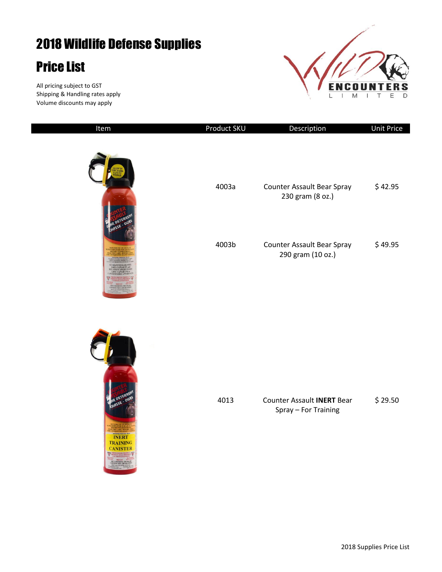## 2018 Wildlife Defense Supplies

## Price List

All pricing subject to GST Shipping & Handling rates apply Volume discounts may apply



| Item                                                                                 | Product SKU | Description                                               | <b>Unit Price</b> |
|--------------------------------------------------------------------------------------|-------------|-----------------------------------------------------------|-------------------|
|                                                                                      | 4003a       | Counter Assault Bear Spray<br>230 gram (8 oz.)            | \$42.95           |
| HASSE                                                                                | 4003b       | Counter Assault Bear Spray<br>290 gram (10 oz.)           | \$49.95           |
| <b>AR DETER</b><br>HASSE - OUI<br><b>INERT</b><br><b>TRAINING</b><br><b>CANISTER</b> | 4013        | <b>Counter Assault INERT Bear</b><br>Spray - For Training | \$29.50           |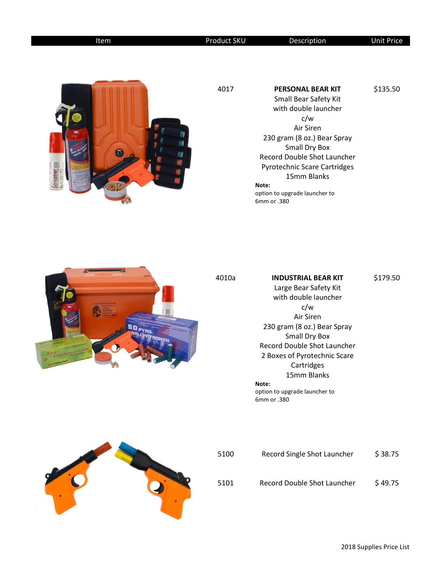| Item    | Product SKU | Description                                                                                                                                                                                                                                                                          | <b>Unit Price</b> |
|---------|-------------|--------------------------------------------------------------------------------------------------------------------------------------------------------------------------------------------------------------------------------------------------------------------------------------|-------------------|
| creamer | 4017        | <b>PERSONAL BEAR KIT</b><br>Small Bear Safety Kit<br>with double launcher<br>c/w<br>Air Siren<br>230 gram (8 oz.) Bear Spray<br>Small Dry Box<br>Record Double Shot Launcher<br>Pyrotechnic Scare Cartridges<br>15mm Blanks<br>Note:<br>option to upgrade launcher to<br>6mm or .380 | \$135.50          |



## 4010a **INDUSTRIAL BEAR KIT** Large Bear Safety Kit with double launcher c/w Air Siren 230 gram (8 oz.) Bear Spray Small Dry Box Record Double Shot Launcher 2 Boxes of Pyrotechnic Scare Cartridges 15mm Blanks **Note:**  option to upgrade launcher to 6mm or .380 \$179.50



| 5100 | Record Single Shot Launcher | \$38.75 |
|------|-----------------------------|---------|
| 5101 | Record Double Shot Launcher | \$49.75 |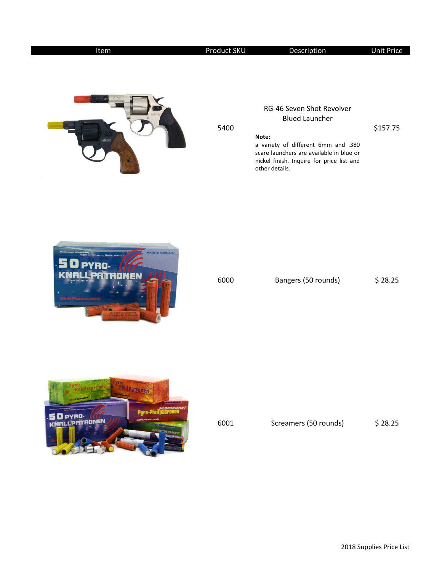| Item           | Product SKU | Description                                                                                                                                                                                                   | <b>Unit Price</b> |
|----------------|-------------|---------------------------------------------------------------------------------------------------------------------------------------------------------------------------------------------------------------|-------------------|
|                | 5400        | RG-46 Seven Shot Revolver<br><b>Blued Launcher</b><br>Note:<br>a variety of different 6mm and .380<br>scare launchers are available in blue or<br>nickel finish. Inquire for price list and<br>other details. | \$157.75          |
| ADE IN GERMANY | 6000        | Bangers (50 rounds)                                                                                                                                                                                           | \$28.25           |



| 6001 | Screamers (50 rounds) | \$28.25 |
|------|-----------------------|---------|
|      |                       |         |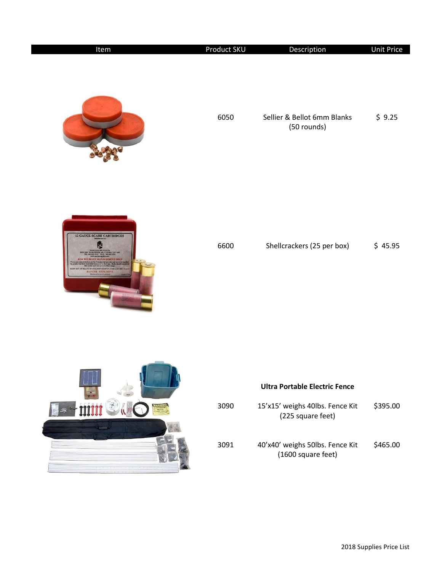| Item                                                                      | <b>Product SKU</b> | Description                                | <b>Unit Price</b> |
|---------------------------------------------------------------------------|--------------------|--------------------------------------------|-------------------|
|                                                                           | 6050               | Sellier & Bellot 6mm Blanks<br>(50 rounds) | \$9.25            |
| <b>12 GAUGE SCARE CARTRIDGES</b><br><b>RENKEEPIN</b><br><b>SGER-EXPLO</b> | 6600               | Shellcrackers (25 per box)                 | \$45.95           |
|                                                                           |                    |                                            |                   |



## **Ultra Portable Electric Fence**

| 3090 | 15'x15' weighs 40lbs. Fence Kit<br>(225 square feet)  | \$395.00 |
|------|-------------------------------------------------------|----------|
| 3091 | 40'x40' weighs 50lbs. Fence Kit<br>(1600 square feet) | \$465.00 |